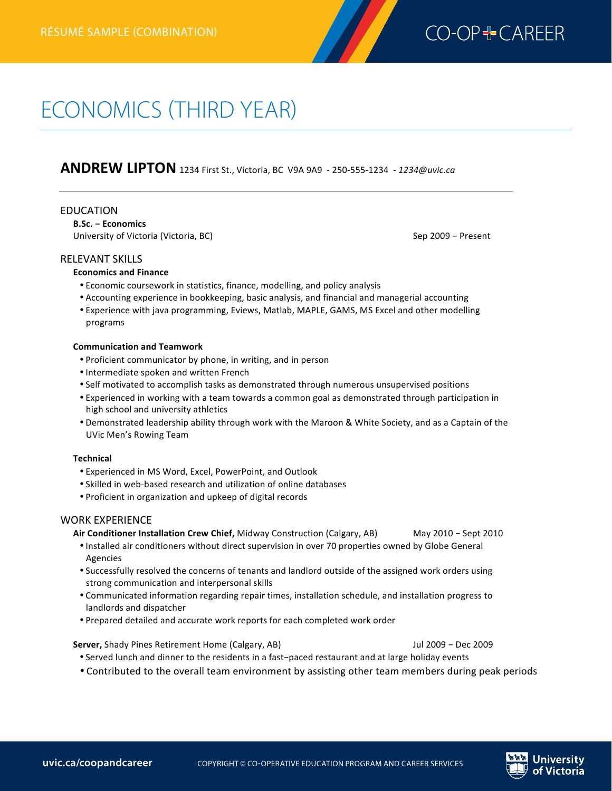

# ECONOMICS (THIRD YEAR)

**ANDREW LIPTON** 1234 First St., Victoria, BC V9A 9A9 - 250-555-1234 - 1234@uvic.ca

#### EDUCATION

**B.Sc. - Economics** University of Victoria (Victoria, BC) Sep 2009 - Present

#### **RELEVANT SKILLS**

#### **Economics and Finance**

- Economic coursework in statistics, finance, modelling, and policy analysis
- Accounting experience in bookkeeping, basic analysis, and financial and managerial accounting
- Experience with java programming, Eviews, Matlab, MAPLE, GAMS, MS Excel and other modelling programs

#### **Communication and 
Teamwork**

- Proficient communicator by phone, in writing, and in person
- Intermediate spoken and written French
- Self motivated to accomplish tasks as demonstrated through numerous unsupervised positions
- Experienced in working with a team towards a common goal as demonstrated through participation in high school and university athletics
- . Demonstrated leadership ability through work with the Maroon & White Society, and as a Captain of the UVic Men's Rowing Team

#### **Technical**

- Experienced in MS Word, Excel, PowerPoint, and Outlook
- Skilled in web-based research and utilization of online databases
- Proficient in organization and upkeep of digital records

### WORK EXPERIENCE

Air Conditioner Installation Crew Chief, Midway Construction (Calgary, AB) May 2010 - Sept 2010

- Installed air conditioners without direct supervision in over 70 properties owned by Globe General Agencies
- Successfully resolved the concerns of tenants and landlord outside of the assigned work orders using strong communication and interpersonal skills
- Communicated information regarding repair times, installation schedule, and installation progress to landlords and dispatcher
- Prepared detailed and accurate work reports for each completed work order

**Server,** Shady Pines Retirement Home (Calgary, AB) and the state of the Sun of the Sun of the Sun of the Sun of the Sun of the Sun of the Sun of the Sun of the Sun of the Sun of the Sun of the Sun of the Sun of the Sun of

- Served lunch and dinner to the residents in a fast-paced restaurant and at large holiday events
- Contributed to the overall team environment by assisting other team members during peak periods

**Skating of the city of the city of the city of the city of the city of the city of the city of the city of the**